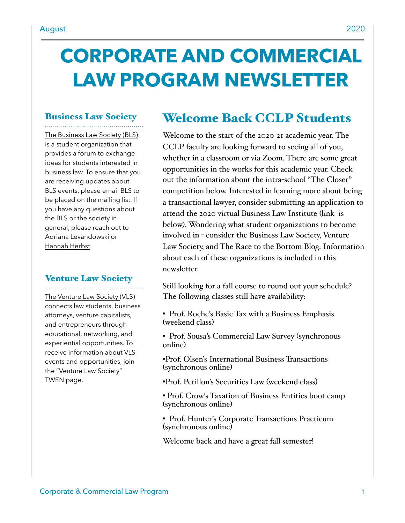# **CORPORATE AND COMMERCIAL LAW PROGRAM NEWSLETTER**

## Business Law Society

[The Business Law Society \(BLS\)](https://www.law.du.edu/studentorgs/business-law-society)  is a student organization that provides a forum to exchange ideas for students interested in business law. To ensure that you are receiving updates about BLS events, please email [BLS t](mailto:BLS@law.du.edu)o be placed on the mailing list. If you have any questions about the BLS or the society in general, please reach out to [Adriana Levandowski](mailto:alevandowski21@law.du.edu) or [Hannah Herbst](mailto:hherbst21@law.du.edu).

# Venture Law Society

[The Venture Law Society](https://www.law.du.edu/studentorgs/venture-law-society) (VLS) connects law students, business attorneys, venture capitalists, and entrepreneurs through educational, networking, and experiential opportunities. To receive information about VLS events and opportunities, join the "Venture Law Society" TWEN page.

## Welcome Back CCLP Students

Welcome to the start of the 2020-21 academic year. The CCLP faculty are looking forward to seeing all of you, whether in a classroom or via Zoom. There are some great opportunities in the works for this academic year. Check out the information about the intra-school "The Closer" competition below. Interested in learning more about being a transactional lawyer, consider submitting an application to attend the 2020 virtual Business Law Institute (link is below). Wondering what student organizations to become involved in - consider the Business Law Society, Venture Law Society, and The Race to the Bottom Blog. Information about each of these organizations is included in this newsletter.

Still looking for a fall course to round out your schedule? The following classes still have availability:

- Prof. Roche's Basic Tax with a Business Emphasis (weekend class)
- Prof. Sousa's Commercial Law Survey (synchronous online)

•Prof. Olsen's International Business Transactions (synchronous online)

- •Prof. Petillon's Securities Law (weekend class)
- Prof. Crow's Taxation of Business Entities boot camp (synchronous online)
- Prof. Hunter's Corporate Transactions Practicum (synchronous online)

Welcome back and have a great fall semester!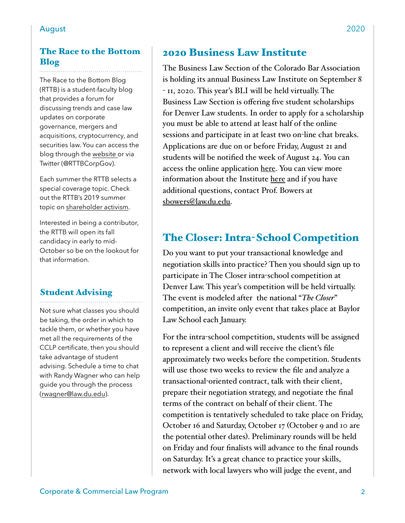#### The Race to the Bottom Blog

The Race to the Bottom Blog (RTTB) is a student-faculty blog that provides a forum for discussing trends and case law updates on corporate governance, mergers and acquisitions, cryptocurrency, and securities law. You can access the blog through the [website o](https://www.theracetothebottom.org/)r via Twitter (@RTTBCorpGov).

Each summer the RTTB selects a special coverage topic. Check out the RTTB's 2019 summer topic on [shareholder activism](https://www.theracetothebottom.org/).

Interested in being a contributor, the RTTB will open its fall candidacy in early to mid-October so be on the lookout for that information.

#### Student Advising

Not sure what classes you should be taking, the order in which to tackle them, or whether you have met all the requirements of the CCLP certificate, then you should take advantage of student advising. Schedule a time to chat with Randy Wagner who can help guide you through the process ([rwagner@law.du.edu](mailto:rwagner@law.du.edu)).

### 2020 Business Law Institute

The Business Law Section of the Colorado Bar Association is holding its annual Business Law Institute on September 8 - 11, 2020. This year's BLI will be held virtually. The Business Law Section is offering five student scholarships for Denver Law students. In order to apply for a scholarship you must be able to attend at least half of the online sessions and participate in at least two on-line chat breaks. Applications are due on or before Friday, August 21 and students will be notified the week of August 24. You can access the online application [here.](https://docs.google.com/forms/d/e/1FAIpQLScKFsZ2ly-vW3gxZb68jxl4nlrsgizJCC-fW8N1DOZSyWG_Cg/viewform?usp=pp_url) You can view more information about the Institute [here](https://cle.cobar.org/Seminars/Event-Info/sessionaltcd/BL090820W) and if you have additional questions, contact Prof. Bowers at [sbowers@law.du.edu](mailto:sbowers@law.du.edu).

## The Closer: Intra-School Competition

Do you want to put your transactional knowledge and negotiation skills into practice? Then you should sign up to participate in The Closer intra-school competition at Denver Law. This year's competition will be held virtually. The event is modeled after the national "*The Closer*" competition, an invite only event that takes place at Baylor Law School each January.

For the intra-school competition, students will be assigned to represent a client and will receive the client's file approximately two weeks before the competition. Students will use those two weeks to review the file and analyze a transactional-oriented contract, talk with their client, prepare their negotiation strategy, and negotiate the final terms of the contract on behalf of their client. The competition is tentatively scheduled to take place on Friday, October 16 and Saturday, October 17 (October 9 and 10 are the potential other dates). Preliminary rounds will be held on Friday and four finalists will advance to the final rounds on Saturday. It's a great chance to practice your skills, network with local lawyers who will judge the event, and